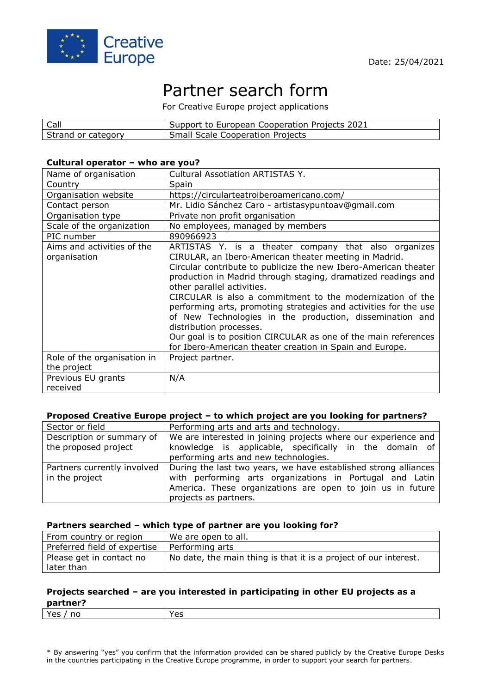

# Partner search form

For Creative Europe project applications

| Call               | Support to European Cooperation Projects 2021 |
|--------------------|-----------------------------------------------|
| Strand or category | <b>Small Scale Cooperation Projects</b>       |

#### **Cultural operator – who are you?**

| Name of organisation                       | Cultural Assotiation ARTISTAS Y.                                                                                                                                                                                                                                                                                                                                                                                                                                                                                                                                                                                                      |
|--------------------------------------------|---------------------------------------------------------------------------------------------------------------------------------------------------------------------------------------------------------------------------------------------------------------------------------------------------------------------------------------------------------------------------------------------------------------------------------------------------------------------------------------------------------------------------------------------------------------------------------------------------------------------------------------|
| Country                                    | Spain                                                                                                                                                                                                                                                                                                                                                                                                                                                                                                                                                                                                                                 |
| Organisation website                       | https://circularteatroiberoamericano.com/                                                                                                                                                                                                                                                                                                                                                                                                                                                                                                                                                                                             |
| Contact person                             | Mr. Lidio Sánchez Caro - artistasypuntoav@gmail.com                                                                                                                                                                                                                                                                                                                                                                                                                                                                                                                                                                                   |
| Organisation type                          | Private non profit organisation                                                                                                                                                                                                                                                                                                                                                                                                                                                                                                                                                                                                       |
| Scale of the organization                  | No employees, managed by members                                                                                                                                                                                                                                                                                                                                                                                                                                                                                                                                                                                                      |
| PIC number                                 | 890966923                                                                                                                                                                                                                                                                                                                                                                                                                                                                                                                                                                                                                             |
| Aims and activities of the<br>organisation | ARTISTAS Y. is a theater company that also organizes<br>CIRULAR, an Ibero-American theater meeting in Madrid.<br>Circular contribute to publicize the new Ibero-American theater<br>production in Madrid through staging, dramatized readings and<br>other parallel activities.<br>CIRCULAR is also a commitment to the modernization of the<br>performing arts, promoting strategies and activities for the use<br>of New Technologies in the production, dissemination and<br>distribution processes.<br>Our goal is to position CIRCULAR as one of the main references<br>for Ibero-American theater creation in Spain and Europe. |
| Role of the organisation in                | Project partner.                                                                                                                                                                                                                                                                                                                                                                                                                                                                                                                                                                                                                      |
| the project                                |                                                                                                                                                                                                                                                                                                                                                                                                                                                                                                                                                                                                                                       |
| Previous EU grants<br>received             | N/A                                                                                                                                                                                                                                                                                                                                                                                                                                                                                                                                                                                                                                   |

### **Proposed Creative Europe project – to which project are you looking for partners?**

| Sector or field                                   | Performing arts and arts and technology.                                                                                 |
|---------------------------------------------------|--------------------------------------------------------------------------------------------------------------------------|
| Description or summary of<br>the proposed project | We are interested in joining projects where our experience and<br>knowledge is applicable, specifically in the domain of |
|                                                   | performing arts and new technologies.                                                                                    |
| Partners currently involved                       | During the last two years, we have established strong alliances                                                          |
| in the project                                    | with performing arts organizations in Portugal and Latin                                                                 |
|                                                   | America. These organizations are open to join us in future                                                               |
|                                                   | projects as partners.                                                                                                    |

#### **Partners searched – which type of partner are you looking for?**

| From country or region                 | We are open to all.                                              |
|----------------------------------------|------------------------------------------------------------------|
| Preferred field of expertise           | Performing arts                                                  |
| Please get in contact no<br>later than | No date, the main thing is that it is a project of our interest. |

#### **Projects searched – are you interested in participating in other EU projects as a partner?**

| Yes<br>н<br>È<br>-- |  |
|---------------------|--|
|                     |  |

\* By answering "yes" you confirm that the information provided can be shared publicly by the Creative Europe Desks in the countries participating in the Creative Europe programme, in order to support your search for partners.